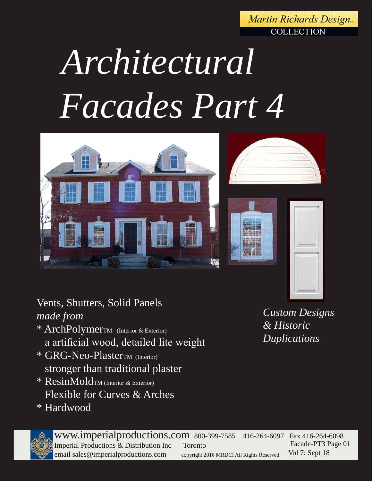Martin Richards Design. **COLLECTION** 

# *Architectural Facades Part 4*







## Vents, Shutters, Solid Panels *made from*

- \* ArchPolymerTM (Interior & Exterior) a artificial wood, detailed lite weight
- \* GRG-Neo-PlasterTM (Interior) stronger than traditional plaster
- \* ResinMoldTM (Interior & Exterior) Flexible for Curves & Arches
- \* Hardwood

www.imperialproductions.com 800-399-7585 416-264-6097 Fax 416-264-6098 Imperial Productions & Distribution Inc Toronto email sales@imperialproductions.com copyright 2016 MRDCI All Rights Reserved Facade-PT3 Page 01 Vol 7: Sept 18

*Custom Designs & Historic Duplications*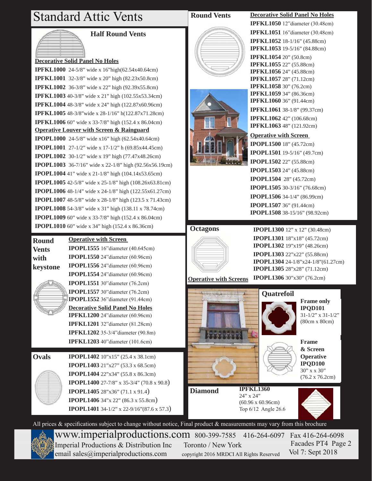## Standard Attic Vents



#### **Half Round Vents**

#### **Decorative Solid Panel No Holes**

**Operative Louver with Screen & Rainguard IPOPL1000** 24-5/8" wide x16" high (62.54x40.64cm) **IPOPL1001** 27-1/2" wide x 17-1/2" h (69.85x44.45cm) **IPOPL1002** 30-1/2" wide x 19" high (77.47x48.26cm) **IPOPL1003** 36-7/16" wide x 22-1/8" high (92.56x56.19cm) **IPOPL1004** 41" wide x 21-1/8" high (104.14x53.65cm) **IPOPL1005** 42-5/8" wide x 25-1/8" high (108.26x63.81cm) **IPOPL1006** 48-1/4" wide x 24-1/8" high (122.55x61.27cm) **IPOPL1007** 48-5/8" wide x 28-1/8" high (123.5 x 71.43cm) **IPOPL1008** 54-3/8" wide x 31" high (138.11 x 78.74cm) **IPOPL1009** 60" wide x 33-7/8" high (152.4 x 86.04cm) **IPOPL1010** 60" wide x 34" high (152.4 x 86.36cm) **IPFKL1000** 24-5/8" wide x 16"high(62.54x40.64cm) **IPFKL1001** 32-3/8" wide x 20" high (82.23x50.8cm) **IPFKL1002** 36-3/8" wide x 22" high (92.39x55.8cm) **IPFKL1003** 40-3/8" wide x 21" high (102.55x53.34cm) **IPFKL1004** 48-3/8" wide x 24" high (122.87x60.96cm) **IPFKL1005** 48-3/8"wide x 28-1/16" h(122.87x71.28cm) **IPFKL1006** 60" wide x 33-7/8" high (152.4 x 86.04cm)

#### **Operative with Screen Round**

**IPOPL1555** 16"diameter (40.645cm) **IPOPL1550** 24"diameter (60.96cm) **IPOPL1556** 24"diameter (60.96cm) **IPOPL1554** 24"diameter (60.96cm) **IPOPL1551** 30"diameter (76.2cm) **IPOPL1557** 30"diameter (76.2cm) **IPOPL1552** 36"diameter (91.44cm) **Decorative Solid Panel No Holes IPFKL1200** 24"diameter (60.96cm) **IPFKL1201** 32"diameter (81.28cm) **IPFKL1202** 35-3/4"diameter (90.8m) **IPFKL1203** 40"diameter (101.6cm) **keystone**

**Vents with** 

**Ovals IPOPL1402** 10"x15" (25.4 x 38.1cm) **IPOPL1403** 21"x27" (53.3 x 68.5cm) **IPOPL1404** 22"x34" (55.8 x 86.3cm) **IPOPL1400** 27-7/8" x 35-3/4" (70.8 x 90.8) **IPOPL1405** 28"x36" (71.1 x 91.4) **IPOPL1406** 34"x 22" (86.3 x 55.8cm) **IPOPL1401** 34-1/2" x 22-9/16"(87.6 x 57.3)

### **Round Vents Decorative Solid Panel No Holes**





### **IPFKL1050** 12"diameter (30.48cm) **IPFKL1051** 16"diameter (30.48cm) **IPFKL1052** 18-1/16" (45.88cm) **IPFKL1053** 19-5/16" (84.88cm)

**IPFKL1054** 20" (50.8cm) **IPFKL1055** 22" (55.88cm) **IPFKL1056** 24" (45.88cm) **IPFKL1057** 28" (71.12cm) **IPFKL1058** 30" (76.2cm) **IPFKL1059** 34" (86.36cm) **IPFKL1060** 36" (91.44cm) **IPFKL1061** 38-1/8" (99.37cm) **IPFKL1062** 42" (106.68cm) **IPFKL1063** 48" (121.92cm)

#### **Operative with Screen**

**IPOPL1500** 18" (45.72cm) **IPOPL1501** 19-5/16" (49.7cm) **IPOPL1502** 22" (55.88cm) **IPOPL1503** 24" (45.88cm) **IPOPL1504** 28" (45.72cm) **IPOPL1505** 30-3/16" (76.68cm) **IPOPL1506** 34-1/4" (86.99cm) **IPOPL1507** 36" (91.44cm) **IPOPL1508** 38-15/16" (98.92cm)

#### **Octagons**



**IPOPL1300** 12" x 12" (30.48cm) **IPOPL1301** 18"x18" (45.72cm) **IPOPL1302** 19"x19" (48.26cm) **IPOPL1303** 22"x22" (55.88cm) **IPOPL1304** 24-1/8"x24-1/8"(61.27cm) **IPOPL1305** 28"x28" (71.12cm) **IPOPL1306** 30"x30" (76.2cm)

**Operative with Screens**





**Frame only IPQD101** 31-1/2" x 31-1/2" (80cm x 80cm)

**Frame & Screen Operative IPQD100**  30" x x 30" (76.2 x 76.2cm)

**IPFKL1360** 24" x 24" **Diamond**

(60.96 x 60.96cm) Top 6/12 Angle 26.6



All prices & specifications subject to change without notice, Final product & measurements may vary from this brochure



www.imperialproductions.com 800-399-7585 416-264-6097 Fax 416-264-6098 Imperial Productions & Distribution Inc Toronto / New York email sales@imperialproductions.com copyright 2016 MRDCI All Rights Reserved

 Facades PT4 Page 2 Vol 7: Sept 2018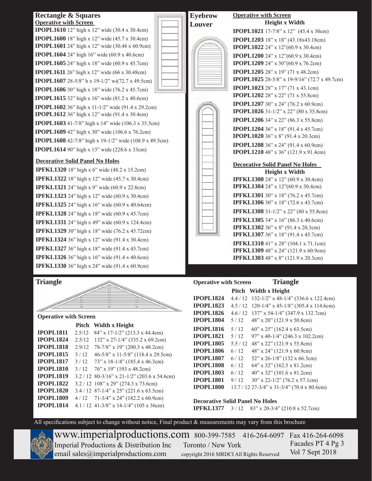#### **Rectangle & Squares Operative with Screen**

**IPOPL1610** 12" high x 12" wide (30.4 x 30.4cm) **IPOPL1600** 18" high x 12" wide (45.7 x 30.4cm) **IPOPL1601** 24" high x 12" wide (30.48 x 60.9cm) **IPOPL1604** 24" high 16" wide (60.9 x 40.6cm) **IPOPL1605** 24" high x 18" wide (60.9 x 45.7cm) **IPOPL1611** 26" high x 12" wide (66 x 30.48cm) **IPOPL1607** 28-5/8" h x 19-1/2" wi(72.7 x 49.5cm) **IPOPL1606** 30" high x 18" wide (76.2 x 45.7cm) **IPOPL1615** 32" high x 16" wide (81.2 x 40.6cm) **IPOPL1602** 36" high x 11-1/2" wide (91.4 x 29.2cm) **IPOPL1612** 36" high x 12" wide (91.4 x 30.4cm)

**IPOPL1603** 41-7/8" high x 14" wide (106.3 x 35.5cm) **IPOPL1609** 42" high x 30" wide (106.6 x 76.2cm) **IPOPL1608** 42-7/8" high x 19-1/2" wide (108.9 x 49.5cm) **IPOPL1614** 90" high x 13" wide (228.6 x 33cm)

#### **Decorative Solid Panel No Holes**

**IPFKL1320** 18" high x 6" wide (48.2 x 15.2cm) **IPFKL1322** 18" high x 12" wide (45.7 x 30.4cm) **IPFKL1321** 24" high x 9" wide (60.9 x 22.8cm) **IPFKL1323** 24" high x 12" wide (60.9 x 30.4cm) **IPFKL1325** 24" high x 16" wide (60.9 x 40.64cm) **IPFKL1328** 24" high x 18" wide (60.9 x 45.7cm) **IPFKL1331** 24" high x 49" wide (60.9 x 124.4cm) **IPFKL1329** 30" high x 18" wide (76.2 x 45.72cm) **IPFKL1324** 36" high x 12" wide (91.4 x 30.4cm) **IPFKL1327** 36" high x 18" wide (91.4 x 45.7cm) **IPFKL1326** 36" high x 16" wide (91.4 x 40.6cm) **IPFKL1330** 36" high x 24" wide (91.4 x 60.9cm)

#### **Triangle**

#### **Operative with Screen**

|                  | Pitch  | Width x Height                                 |
|------------------|--------|------------------------------------------------|
| <b>IPOPL1811</b> | 2.5/12 | 84" x 17-1/2" (213.3 x 44.4cm)                 |
| <b>IPOPL1824</b> | 2.5/12 | 132" x 27-1/4" (335.2 x 69.2cm)                |
| <b>IPOPL1818</b> | 2.9/12 | 78-7/8" x 19" (200.3 x 48.2cm)                 |
| <b>IPOPL1815</b> | 3/12   | 46-5/8" x 11-5/8" (118.4 x 29.5cm)             |
| <b>IPOPL1817</b> | 3/12   | 73" x 18-1/4" (185.4 x 46.3cm)                 |
| <b>IPOPL1810</b> | 3/12   | 76" x 19" (193 x 48.2cm)                       |
| <b>IPOPL1819</b> |        | $3.2 / 12$ 80-3/16" x 21-1/2" (203.6 x 54.6cm) |
| <b>IPOPL1822</b> |        | 3.2 / 12 108" x 29" (274.3 x 73.6cm)           |
| <b>IPOPL1820</b> |        | 3.4 / 12 87-1/4" x 25" (221.6 x 63.5cm)        |
| <b>IPOPL1809</b> | 4/12   | $71-3/4$ " x 24" (182.2 x 60.9cm)              |
| <b>IPOPL1814</b> |        | 4.1 / 12 41-3/8" x 14-1/4" (105 x 36cm)        |





#### **Operative with Screen Height x Width**

**IPOPL1021** 17-7/8" x 12" (45.4 x 30cm) **IPOPL1203** 18" x 18" (43.18x43.18cm) **IPOPL1022** 24" x 12"(60.9 x 30.4cm) **IPOPL1200** 24" x 12"(60.9 x 30.4cm) **IPOPL1209** 24" x 30"(60.9 x 76.2cm) **IPOPL1205** 28" x 19" (71 x 48.2cm) **IPOPL1025** 28-5/8" x 19-9/16" (72.7 x 49.7cm) **IPOPL1023** 28" x 17" (71 x 43.1cm) **IPOPL1202** 28" x 22" (71 x 55.8cm) **IPOPL1207** 30" x 24" (76.2 x 60.9cm) **IPOPL1026** 31-1/2" x 22" (80 x 55.8cm) **IPOPL1206** 34" x 22" (86.3 x 55.8cm) **IPOPL1204** 36" x 18" (91.4 x 45.7cm) **IPOPL1020** 36" x 8" (91.4 x 20.3cm) **IPOPL1208** 36" x 24" (91.4 x 60.9cm) **IPOPL1210** 48" x 36" (121.9 x 91.4cm)

#### **Decorative Solid Panel No Holes Height x Width**

**IPFKL1300** 24" x 12" (60.9 x 30.4cm) **IPFKL1304** 24" x 12"(60.9 x 30.4cm) **IPFKL1301** 30" x 18" (76.2 x 45.7cm) **IPFKL1306** 30" x 18" (72.6 x 43.7cm) **IPFKL1308** 31-1/2" x 22" (80 x 55.8cm) **IPFKL1305** 34" x 16" (86.3 x 40.6cm) **IPFKL1302** 36" x 8" (91.4 x 20.3cm) **IPFKL1307** 36" x 18" (91.4 x 45.7cm) **IPFKL1310** 41" x 28" (104.1 x 71.1cm)

**IPFKL1309** 48" x 24" (121.9 x 60.9cm) **IPFKL1303** 48" x 8" (121.9 x 20.3cm)

#### **Operative with Screen**

#### **Triangle Pitch Width x Height**

|                  |        | FIICII VYRHII A FIEI <u>E</u> III           |
|------------------|--------|---------------------------------------------|
| <b>IPOPL1824</b> | 4.4/12 | 132-1/2" x 48-1/4" (336.6 x 122.4cm)        |
| <b>IPOPL1823</b> | 4.5/12 | 120-1/4" x 45-1/8" (305.4 x 114.6cm)        |
| <b>IPOPL1826</b> | 4.6/12 | $137$ " x 54-1/4" (347.9 x 132.7cm)         |
| <b>IPOPL1804</b> | 5/12   | $48''$ x 20" (121.9 x 50.8cm)               |
| <b>IPOPL1816</b> | 5/12   | $60''$ x $25''$ (162.4 x 63.5cm)            |
| <b>IPOPL1821</b> | 5/12   | $97''$ x 40-1/4" (246.3 x 102.2cm)          |
| <b>IPOPL1805</b> | 5.5/12 | 48" x 22" (121.9 x 55.8cm)                  |
| <b>IPOPL1806</b> | 6/12   | $48$ " x $24$ " (121.9 x 60.9cm)            |
| <b>IPOPL1807</b> | 6/12   | $52$ " x 26-1/8" (132 x 66.3cm)             |
| <b>IPOPL1808</b> | 6/12   | $64$ " x 32" (162.5 x 81.2cm)               |
| <b>IPOPL1803</b> | 6/12   | $40''$ x 32" (101.6 x 81.2cm)               |
| <b>IPOPL1801</b> | 9/12   | $30''$ x 22-1/2" (76.2 x 57.1cm)            |
| <b>IPOPL1800</b> |        | 13.7 / 12 27-3/4" x 31-3/4" (70.4 x 80.6cm) |

#### **Decorative Solid Panel No Holes**

**IPFKL1377** 3 / 12 83" x 20-3/4" (210.8 x 52.7cm)

All specifications subject to change without notice, Final product & measurements may vary from this brochure



www.imperialproductions.com 800-399-7585 416-264-6097 Fax 416-264-6098 Imperial Productions & Distribution Inc Toronto / New York email sales $@$ imperialproductions.com copyright 2016 MRDCI All Rights Reserved

 Facades PT 4 Pg 3 Vol 7 Sept 2018